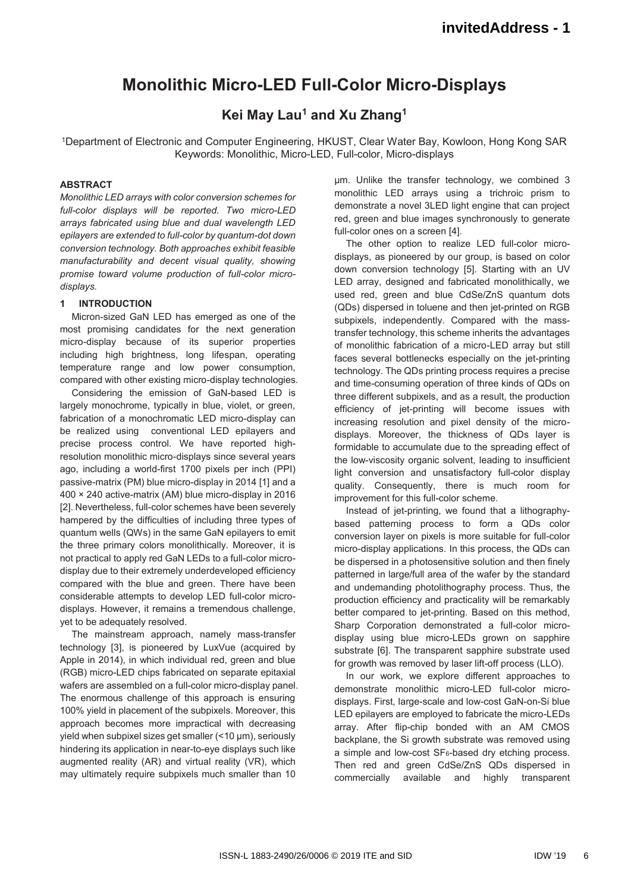# **Monolithic Micro-LED Full-Color Micro-Displays**

# **Kei May Lau<sup>1</sup> and Xu Zhang<sup>1</sup>**

1Department of Electronic and Computer Engineering, HKUST, Clear Water Bay, Kowloon, Hong Kong SAR Keywords: Monolithic, Micro-LED, Full-color, Micro-displays

## **ABSTRACT**

*Monolithic LED arrays with color conversion schemes for full-color displays will be reported. Two micro-LED arrays fabricated using blue and dual wavelength LED epilayers are extended to full-color by quantum-dot down conversion technology. Both approaches exhibit feasible manufacturability and decent visual quality, showing promise toward volume production of full-color microdisplays.* 

#### **1 INTRODUCTION**

Micron-sized GaN LED has emerged as one of the most promising candidates for the next generation micro-display because of its superior properties including high brightness, long lifespan, operating temperature range and low power consumption, compared with other existing micro-display technologies.

Considering the emission of GaN-based LED is largely monochrome, typically in blue, violet, or green, fabrication of a monochromatic LED micro-display can be realized using conventional LED epilayers and precise process control. We have reported highresolution monolithic micro-displays since several years ago, including a world-first 1700 pixels per inch (PPI) passive-matrix (PM) blue micro-display in 2014 [1] and a 400 × 240 active-matrix (AM) blue micro-display in 2016 [2]. Nevertheless, full-color schemes have been severely hampered by the difficulties of including three types of quantum wells (QWs) in the same GaN epilayers to emit the three primary colors monolithically. Moreover, it is not practical to apply red GaN LEDs to a full-color microdisplay due to their extremely underdeveloped efficiency compared with the blue and green. There have been considerable attempts to develop LED full-color microdisplays. However, it remains a tremendous challenge, yet to be adequately resolved.

The mainstream approach, namely mass-transfer technology [3], is pioneered by LuxVue (acquired by Apple in 2014), in which individual red, green and blue (RGB) micro-LED chips fabricated on separate epitaxial wafers are assembled on a full-color micro-display panel. The enormous challenge of this approach is ensuring 100% yield in placement of the subpixels. Moreover, this approach becomes more impractical with decreasing yield when subpixel sizes get smaller (<10 μm), seriously hindering its application in near-to-eye displays such like augmented reality (AR) and virtual reality (VR), which may ultimately require subpixels much smaller than 10

μm. Unlike the transfer technology, we combined 3 monolithic LED arrays using a trichroic prism to demonstrate a novel 3LED light engine that can project red, green and blue images synchronously to generate full-color ones on a screen [4].

The other option to realize LED full-color microdisplays, as pioneered by our group, is based on color down conversion technology [5]. Starting with an UV LED array, designed and fabricated monolithically, we used red, green and blue CdSe/ZnS quantum dots (QDs) dispersed in toluene and then jet-printed on RGB subpixels, independently. Compared with the masstransfer technology, this scheme inherits the advantages of monolithic fabrication of a micro-LED array but still faces several bottlenecks especially on the jet-printing technology. The QDs printing process requires a precise and time-consuming operation of three kinds of QDs on three different subpixels, and as a result, the production efficiency of jet-printing will become issues with increasing resolution and pixel density of the microdisplays. Moreover, the thickness of QDs layer is formidable to accumulate due to the spreading effect of the low-viscosity organic solvent, leading to insufficient light conversion and unsatisfactory full-color display quality. Consequently, there is much room for improvement for this full-color scheme.

Instead of jet-printing, we found that a lithographybased patterning process to form a QDs color conversion layer on pixels is more suitable for full-color micro-display applications. In this process, the QDs can be dispersed in a photosensitive solution and then finely patterned in large/full area of the wafer by the standard and undemanding photolithography process. Thus, the production efficiency and practicality will be remarkably better compared to jet-printing. Based on this method, Sharp Corporation demonstrated a full-color microdisplay using blue micro-LEDs grown on sapphire substrate [6]. The transparent sapphire substrate used for growth was removed by laser lift-off process (LLO).

In our work, we explore different approaches to demonstrate monolithic micro-LED full-color microdisplays. First, large-scale and low-cost GaN-on-Si blue LED epilayers are employed to fabricate the micro-LEDs array. After flip-chip bonded with an AM CMOS backplane, the Si growth substrate was removed using a simple and low-cost  $SF_6$ -based dry etching process. Then red and green CdSe/ZnS QDs dispersed in commercially available and highly transparent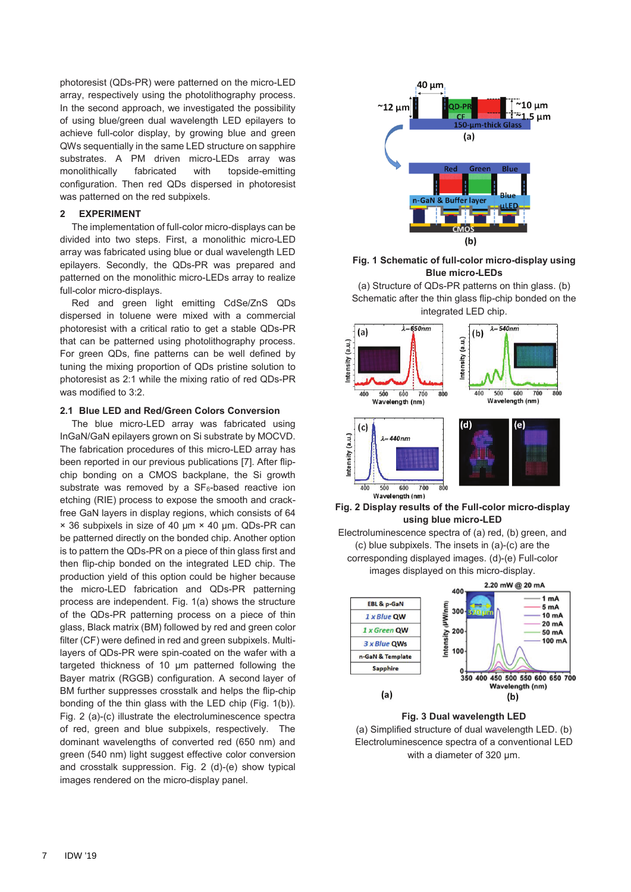photoresist (QDs-PR) were patterned on the micro-LED array, respectively using the photolithography process. In the second approach, we investigated the possibility of using blue/green dual wavelength LED epilayers to achieve full-color display, by growing blue and green QWs sequentially in the same LED structure on sapphire substrates. A PM driven micro-LEDs array was monolithically fabricated with topside-emitting configuration. Then red QDs dispersed in photoresist was patterned on the red subpixels.

#### **2 EXPERIMENT**

The implementation of full-color micro-displays can be divided into two steps. First, a monolithic micro-LED array was fabricated using blue or dual wavelength LED epilayers. Secondly, the QDs-PR was prepared and patterned on the monolithic micro-LEDs array to realize full-color micro-displays.

Red and green light emitting CdSe/ZnS QDs dispersed in toluene were mixed with a commercial photoresist with a critical ratio to get a stable QDs-PR that can be patterned using photolithography process. For green QDs, fine patterns can be well defined by tuning the mixing proportion of QDs pristine solution to photoresist as 2:1 while the mixing ratio of red QDs-PR was modified to 3:2.

#### **2.1 Blue LED and Red/Green Colors Conversion**

The blue micro-LED array was fabricated using InGaN/GaN epilayers grown on Si substrate by MOCVD. The fabrication procedures of this micro-LED array has been reported in our previous publications [7]. After flipchip bonding on a CMOS backplane, the Si growth substrate was removed by a  $SF_6$ -based reactive ion etching (RIE) process to expose the smooth and crackfree GaN layers in display regions, which consists of 64 × 36 subpixels in size of 40 μm × 40 μm. QDs-PR can be patterned directly on the bonded chip. Another option is to pattern the QDs-PR on a piece of thin glass first and then flip-chip bonded on the integrated LED chip. The production yield of this option could be higher because the micro-LED fabrication and QDs-PR patterning process are independent. Fig. 1(a) shows the structure of the QDs-PR patterning process on a piece of thin glass, Black matrix (BM) followed by red and green color filter (CF) were defined in red and green subpixels. Multilayers of QDs-PR were spin-coated on the wafer with a targeted thickness of 10 μm patterned following the Bayer matrix (RGGB) configuration. A second layer of BM further suppresses crosstalk and helps the flip-chip bonding of the thin glass with the LED chip (Fig. 1(b)). Fig. 2 (a)-(c) illustrate the electroluminescence spectra of red, green and blue subpixels, respectively. The dominant wavelengths of converted red (650 nm) and green (540 nm) light suggest effective color conversion and crosstalk suppression. Fig. 2 (d)-(e) show typical images rendered on the micro-display panel.



### **Fig. 1 Schematic of full-color micro-display using Blue micro-LEDs**

(a) Structure of QDs-PR patterns on thin glass. (b) Schematic after the thin glass flip-chip bonded on the integrated LED chip.



**Fig. 2 Display results of the Full-color micro-display using blue micro-LED** 

Electroluminescence spectra of (a) red, (b) green, and (c) blue subpixels. The insets in (a)-(c) are the corresponding displayed images. (d)-(e) Full-color images displayed on this micro-display.